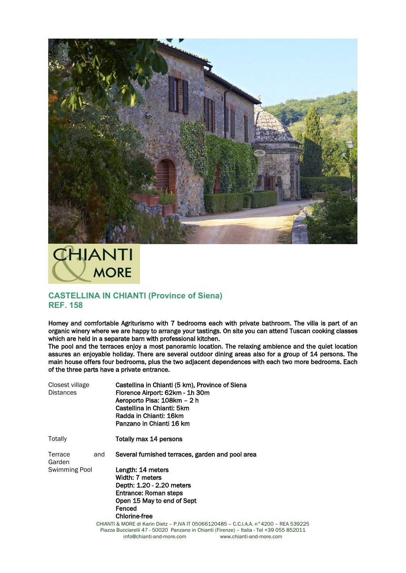



## **CASTELLINA IN CHIANTI (Province of Siena) REF. 158**

Homey and comfortable Agriturismo with 7 bedrooms each with private bathroom. The villa is part of an organic winery where we are happy to arrange your tastings. On site you can attend Tuscan cooking classes which are held in a separate barn with professional kitchen.

The pool and the terraces enjoy a most panoramic location. The relaxing ambience and the quiet location assures an enjoyable holiday. There are several outdoor dining areas also for a group of 14 persons. The main house offers four bedrooms, plus the two adjacent dependences with each two more bedrooms. Each of the three parts have a private entrance.

| Closest village<br><b>Distances</b> |     | Castellina in Chianti (5 km), Province of Siena<br>Florence Airport: 62km - 1h 30m<br>Aeroporto Pisa: 108km - 2 h<br>Castellina in Chianti: 5km<br>Radda in Chianti: 16km<br>Panzano in Chianti 16 km |
|-------------------------------------|-----|-------------------------------------------------------------------------------------------------------------------------------------------------------------------------------------------------------|
| Totally                             |     | Totally max 14 persons                                                                                                                                                                                |
| Terrace<br>Garden                   | and | Several furnished terraces, garden and pool area                                                                                                                                                      |
| Swimming Pool                       |     | Length: 14 meters<br>Width: 7 meters<br>Depth: 1.20 - 2.20 meters<br>Entrance: Roman steps<br>Open 15 May to end of Sept<br>Fenced<br><b>Chlorine-free</b>                                            |
|                                     |     | CHIANTI & MORE di Karin Dietz - P.IVA IT 05066120485 - C.C.I.A.A. n°42                                                                                                                                |

200 – REA 539225 Piazza Bucciarelli 47 - 50020 Panzano in Chianti (Firenze) – Italia - Tel +39 055 852011 info@chianti-and-more.com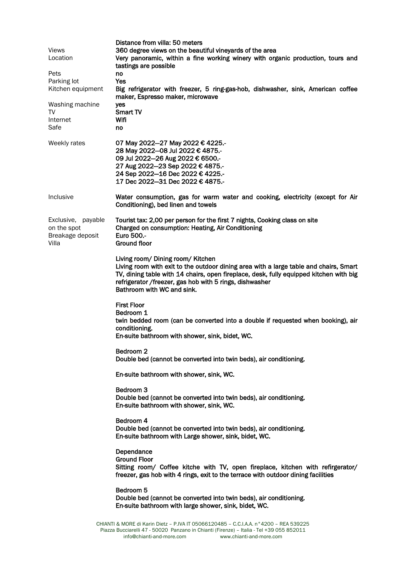| Views<br>Location<br>Pets<br>Parking lot<br>Kitchen equipment<br>Washing machine<br>TV<br>Internet<br>Safe | Distance from villa: 50 meters<br>360 degree views on the beautiful vineyards of the area<br>Very panoramic, within a fine working winery with organic production, tours and<br>tastings are possible<br>no<br>Yes<br>Big refrigerator with freezer, 5 ring-gas-hob, dishwasher, sink, American coffee<br>maker, Espresso maker, microwave<br>yes<br>Smart TV<br>Wifi<br>no |
|------------------------------------------------------------------------------------------------------------|-----------------------------------------------------------------------------------------------------------------------------------------------------------------------------------------------------------------------------------------------------------------------------------------------------------------------------------------------------------------------------|
| Weekly rates                                                                                               | 07 May 2022-27 May 2022 € 4225.-<br>28 May 2022-08 Jul 2022 € 4875.-<br>09 Jul 2022-26 Aug 2022 € 6500 .-<br>27 Aug 2022-23 Sep 2022 € 4875.-<br>24 Sep 2022-16 Dec 2022 € 4225.-<br>17 Dec 2022-31 Dec 2022 € 4875.-                                                                                                                                                       |
| Inclusive                                                                                                  | Water consumption, gas for warm water and cooking, electricity (except for Air<br>Conditioning), bed linen and towels                                                                                                                                                                                                                                                       |
| Exclusive, payable<br>on the spot<br>Breakage deposit<br>Villa                                             | Tourist tax: 2,00 per person for the first 7 nights, Cooking class on site<br>Charged on consumption: Heating, Air Conditioning<br>Euro 500 .-<br><b>Ground floor</b>                                                                                                                                                                                                       |
|                                                                                                            | Living room/ Dining room/ Kitchen<br>Living room with exit to the outdoor dining area with a large table and chairs, Smart<br>TV, dining table with 14 chairs, open fireplace, desk, fully equipped kitchen with big<br>refrigerator /freezer, gas hob with 5 rings, dishwasher<br>Bathroom with WC and sink.                                                               |
|                                                                                                            | <b>First Floor</b><br>Bedroom 1<br>twin bedded room (can be converted into a double if requested when booking), air<br>conditioning.<br>En-suite bathroom with shower, sink, bidet, WC.                                                                                                                                                                                     |
|                                                                                                            | Bedroom <sub>2</sub><br>Double bed (cannot be converted into twin beds), air conditioning.                                                                                                                                                                                                                                                                                  |
|                                                                                                            | En-suite bathroom with shower, sink, WC.                                                                                                                                                                                                                                                                                                                                    |
|                                                                                                            | Bedroom <sub>3</sub><br>Double bed (cannot be converted into twin beds), air conditioning.<br>En-suite bathroom with shower, sink, WC.                                                                                                                                                                                                                                      |
|                                                                                                            | Bedroom 4<br>Double bed (cannot be converted into twin beds), air conditioning.<br>En-suite bathroom with Large shower, sink, bidet, WC.                                                                                                                                                                                                                                    |
|                                                                                                            | Dependance<br><b>Ground Floor</b><br>Sitting room/ Coffee kitche with TV, open fireplace, kitchen with refirgerator/<br>freezer, gas hob with 4 rings, exit to the terrace with outdoor dining facilities                                                                                                                                                                   |
|                                                                                                            | Bedroom 5<br>Double bed (cannot be converted into twin beds), air conditioning.<br>En-suite bathroom with large shower, sink, bidet, WC.                                                                                                                                                                                                                                    |
|                                                                                                            | CHIANTI & MORE di Karin Dietz - P.IVA IT 05066120485 - C.C.I.A.A. n°4200 - REA 539225                                                                                                                                                                                                                                                                                       |